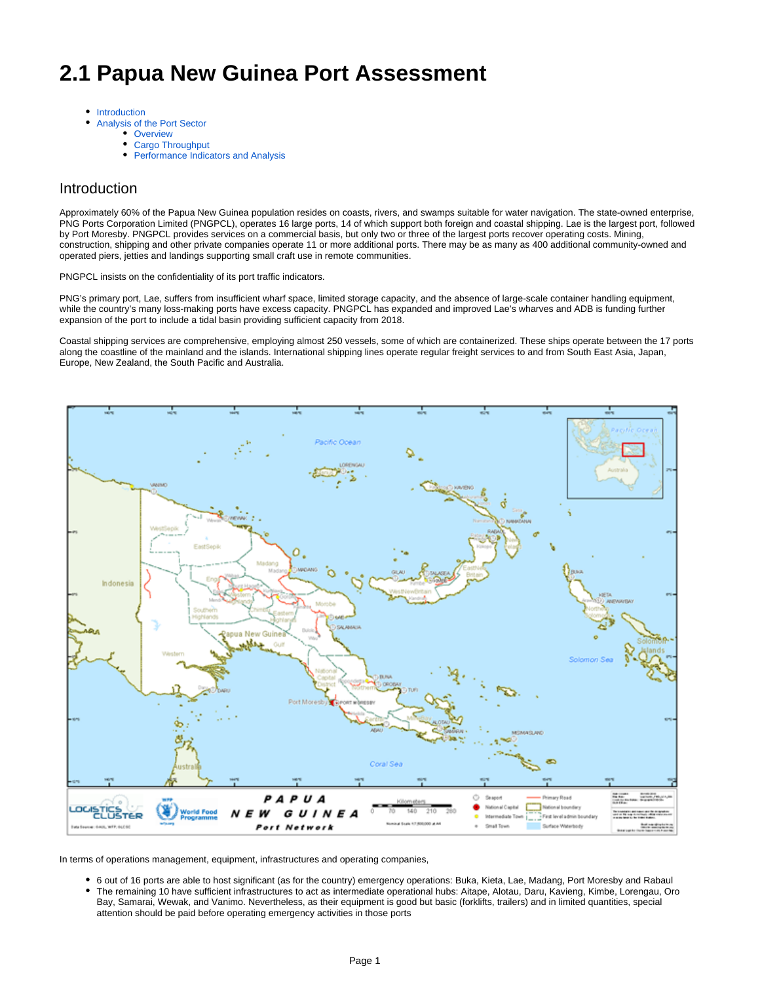# **2.1 Papua New Guinea Port Assessment**

- [Introduction](#page-0-0)  $\bullet$  $\bullet$ 
	- [Analysis of the Port Sector](#page-1-0)
		- [Overview](#page-1-1)
		- [Cargo Throughput](#page-1-2)
		- [Performance Indicators and Analysis](#page-1-3)

### <span id="page-0-0"></span>Introduction

Approximately 60% of the Papua New Guinea population resides on coasts, rivers, and swamps suitable for water navigation. The state-owned enterprise, PNG Ports Corporation Limited (PNGPCL), operates 16 large ports, 14 of which support both foreign and coastal shipping. Lae is the largest port, followed by Port Moresby. PNGPCL provides services on a commercial basis, but only two or three of the largest ports recover operating costs. Mining, construction, shipping and other private companies operate 11 or more additional ports. There may be as many as 400 additional community-owned and operated piers, jetties and landings supporting small craft use in remote communities.

#### PNGPCL insists on the confidentiality of its port traffic indicators.

PNG's primary port, Lae, suffers from insufficient wharf space, limited storage capacity, and the absence of large-scale container handling equipment, while the country's many loss-making ports have excess capacity. PNGPCL has expanded and improved Lae's wharves and ADB is funding further expansion of the port to include a tidal basin providing sufficient capacity from 2018.

Coastal shipping services are comprehensive, employing almost 250 vessels, some of which are containerized. These ships operate between the 17 ports along the coastline of the mainland and the islands. International shipping lines operate regular freight services to and from South East Asia, Japan, Europe, New Zealand, the South Pacific and Australia.



In terms of operations management, equipment, infrastructures and operating companies,

- 6 out of 16 ports are able to host significant (as for the country) emergency operations: Buka, Kieta, Lae, Madang, Port Moresby and Rabaul
- The remaining 10 have sufficient infrastructures to act as intermediate operational hubs: Aitape, Alotau, Daru, Kavieng, Kimbe, Lorengau, Oro Bay, Samarai, Wewak, and Vanimo. Nevertheless, as their equipment is good but basic (forklifts, trailers) and in limited quantities, special attention should be paid before operating emergency activities in those ports